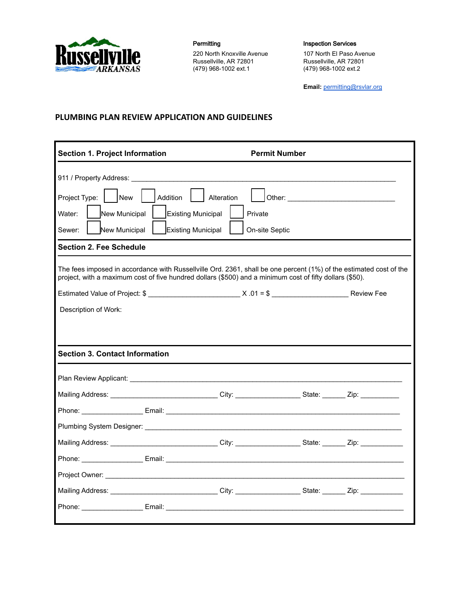

Permitting **Inspection Services** 220 North Knoxville Avenue Russellville, AR 72801 (479) 968-1002 ext.1

107 North El Paso Avenue Russellville, AR 72801 (479) 968-1002 ext.2

**Email:** permitting@rsvlar.org

## **PLUMBING PLAN REVIEW APPLICATION AND GUIDELINES**

| <b>Section 1. Project Information</b>                                                                                                                                                                                                                                              |  |                                                                                                                      | <b>Permit Number</b> |  |  |  |
|------------------------------------------------------------------------------------------------------------------------------------------------------------------------------------------------------------------------------------------------------------------------------------|--|----------------------------------------------------------------------------------------------------------------------|----------------------|--|--|--|
| 911 / Property Address: The Contract of the Contract of the Contract of the Contract of the Contract of the Contract of the Contract of the Contract of the Contract of the Contract of the Contract of the Contract of the Co<br>Project Type:  <br>New<br>Addition<br>Alteration |  |                                                                                                                      |                      |  |  |  |
| Water:<br>New Municipal<br>Existing Municipal<br>Private                                                                                                                                                                                                                           |  |                                                                                                                      |                      |  |  |  |
| Sewer:<br>New Municipal<br>Existing Municipal<br>On-site Septic                                                                                                                                                                                                                    |  |                                                                                                                      |                      |  |  |  |
| <b>Section 2. Fee Schedule</b>                                                                                                                                                                                                                                                     |  |                                                                                                                      |                      |  |  |  |
|                                                                                                                                                                                                                                                                                    |  |                                                                                                                      |                      |  |  |  |
| The fees imposed in accordance with Russellville Ord. 2361, shall be one percent (1%) of the estimated cost of the<br>project, with a maximum cost of five hundred dollars (\$500) and a minimum cost of fifty dollars (\$50).                                                     |  |                                                                                                                      |                      |  |  |  |
|                                                                                                                                                                                                                                                                                    |  |                                                                                                                      |                      |  |  |  |
| Description of Work:                                                                                                                                                                                                                                                               |  |                                                                                                                      |                      |  |  |  |
|                                                                                                                                                                                                                                                                                    |  |                                                                                                                      |                      |  |  |  |
|                                                                                                                                                                                                                                                                                    |  |                                                                                                                      |                      |  |  |  |
| <b>Section 3. Contact Information</b>                                                                                                                                                                                                                                              |  |                                                                                                                      |                      |  |  |  |
|                                                                                                                                                                                                                                                                                    |  |                                                                                                                      |                      |  |  |  |
|                                                                                                                                                                                                                                                                                    |  | Mailing Address: _______________________________City: ___________________________ State: _________ Zip: ____________ |                      |  |  |  |
|                                                                                                                                                                                                                                                                                    |  |                                                                                                                      |                      |  |  |  |
|                                                                                                                                                                                                                                                                                    |  |                                                                                                                      |                      |  |  |  |
|                                                                                                                                                                                                                                                                                    |  | Mailing Address: _________________________________City: ___________________State: ________Zip: ______________        |                      |  |  |  |
|                                                                                                                                                                                                                                                                                    |  |                                                                                                                      |                      |  |  |  |
|                                                                                                                                                                                                                                                                                    |  |                                                                                                                      |                      |  |  |  |
|                                                                                                                                                                                                                                                                                    |  | Mailing Address: ________________________________City: __________________State: ________Zip: ____________            |                      |  |  |  |
|                                                                                                                                                                                                                                                                                    |  |                                                                                                                      |                      |  |  |  |
|                                                                                                                                                                                                                                                                                    |  |                                                                                                                      |                      |  |  |  |